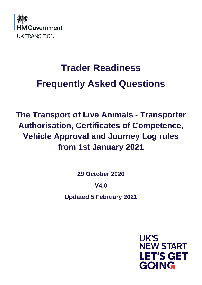

# **Trader Readiness Frequently Asked Questions**

**The Transport of Live Animals - Transporter Authorisation, Certificates of Competence, Vehicle Approval and Journey Log rules from 1st January 2021**

**29 October 2020**

**V4.0**

**Updated 5 February 2021**

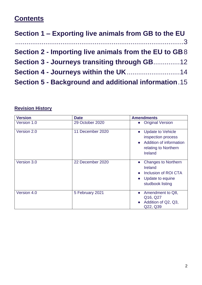# **Contents**

| Section 1 – Exporting live animals from GB to the EU        |  |
|-------------------------------------------------------------|--|
| Section 2 - Importing live animals from the EU to GB8       |  |
| Section 3 - Journeys transiting through GB12                |  |
| Section 4 - Journeys within the UK14                        |  |
| <b>Section 5 - Background and additional information 15</b> |  |

# **Revision History**

| <b>Version</b> | <b>Date</b>      | <b>Amendments</b>                                                                                                                |
|----------------|------------------|----------------------------------------------------------------------------------------------------------------------------------|
| Version 1.0    | 29 October 2020  | <b>Original Version</b>                                                                                                          |
| Version 2.0    | 11 December 2020 | <b>Update to Vehicle</b><br>inspection process<br>Addition of information<br>$\bullet$<br>relating to Northern<br><b>Ireland</b> |
| Version 3.0    | 22 December 2020 | <b>Changes to Northern</b><br>$\bullet$<br><b>Ireland</b><br>Inclusion of ROI CTA<br>Update to equine<br>studbook listing        |
| Version 4.0    | 5 February 2021  | Amendment to Q8,<br>$\bullet$<br>Q16, Q27<br>Addition of Q2, Q3,<br>Q22, Q39                                                     |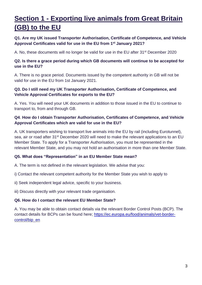# **Section 1 - Exporting live animals from Great Britain (GB) to the EU**

# **Q1. Are my UK issued Transporter Authorisation, Certificate of Competence, and Vehicle Approval Certificates valid for use in the EU from 1st January 2021?**

A. No, these documents will no longer be valid for use in the EU after 31st December 2020

# **Q2. Is there a grace period during which GB documents will continue to be accepted for use in the EU?**

A. There is no grace period. Documents issued by the competent authority in GB will not be valid for use in the EU from 1st January 2021.

# **Q3. Do I still need my UK Transporter Authorisation, Certificate of Competence, and Vehicle Approval Certificates for exports to the EU?**

A. Yes. You will need your UK documents in addition to those issued in the EU to continue to transport to, from and through GB.

# **Q4**. **How do I obtain Transporter Authorisation, Certificates of Competence, and Vehicle Approval Certificates which are valid for use in the EU?**

A. UK transporters wishing to transport live animals into the EU by rail (including Eurotunnel), sea, air or road after 31<sup>st</sup> December 2020 will need to make the relevant applications to an EU Member State. To apply for a Transporter Authorisation, you must be represented in the relevant Member State, and you may not hold an authorisation in more than one Member State.

# **Q5. What does "Representation" in an EU Member State mean?**

A. The term is not defined in the relevant legislation. We advise that you:

i) Contact the relevant competent authority for the Member State you wish to apply to

ii) Seek independent legal advice, specific to your business.

iii) Discuss directly with your relevant trade organisation.

#### **Q6. How do I contact the relevant EU Member State?**

A. You may be able to obtain contact details via the relevant Border Control Posts (BCP). The contact details for BCPs can be found here; [https://ec.europa.eu/food/animals/vet-border](https://ec.europa.eu/food/animals/vet-border-control/bip_en)[control/bip\\_en](https://ec.europa.eu/food/animals/vet-border-control/bip_en)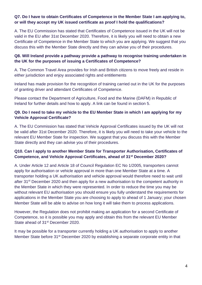# **Q7. Do I have to obtain Certificates of Competence in the Member State I am applying to, or will they accept my UK issued certificate as proof I hold the qualifications?**

A. The EU Commission has stated that Certificates of Competence issued in the UK will not be valid in the EU after 31st December 2020. Therefore, it is likely you will need to obtain a new Certificate of Competence in the Member State to which you are applying. We suggest that you discuss this with the Member State directly and they can advise you of their procedures.

# **Q8. Will Ireland provide a pathway provide a pathway to recognise training undertaken in the UK for the purposes of issuing a Certificates of Competence?**

A. The Common Travel Area provides for Irish and British citizens to move freely and reside in either jurisdiction and enjoy associated rights and entitlements

Ireland has made provision for the recognition of training carried out in the UK for the purposes of granting driver and attendant Certificates of Competence.

Please contact the Department of Agriculture, Food and the Marine (DAFM) in Republic of Ireland for further details and how to apply. A link can be found in section 5.

# **Q9. Do I need to take my vehicle to the EU Member State in which I am applying for my Vehicle Approval Certificate?**

A. The EU Commission has stated that Vehicle Approval Certificates issued by the UK will not be valid after 31st December 2020. Therefore, it is likely you will need to take your vehicle to the relevant EU Member State for inspection. We suggest that you discuss this with the Member State directly and they can advise you of their procedures.

# **Q10. Can I apply to another Member State for Transporter Authorisation, Certificates of Competence, and Vehicle Approval Certificates, ahead of 31st December 2020?**

A. Under Article 12 and Article 18 of Council Regulation EC No 1/2005, transporters cannot apply for authorisation or vehicle approval in more than one Member State at a time. A transporter holding a UK authorisation and vehicle approval would therefore need to wait until after 31<sup>st</sup> December 2020 and then apply for a new authorisation to the competent authority in the Member State in which they were represented. In order to reduce the time you may be without relevant EU authorisation you should ensure you fully understand the requirements for applications in the Member State you are choosing to apply to ahead of 1 January; your chosen Member State will be able to advise on how long it will take them to process applications.

However, the Regulation does not prohibit making an application for a second Certificate of Competence, so it is possible you may apply and obtain this from the relevant EU Member State ahead of 31<sup>st</sup> December 2020.

It may be possible for a transporter currently holding a UK authorisation to apply to another Member State before 31<sup>st</sup> December 2020 by establishing a separate corporate entity in that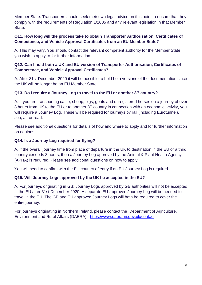Member State. Transporters should seek their own legal advice on this point to ensure that they comply with the requirements of Regulation 1/2005 and any relevant legislation in that Member State.

# **Q11. How long will the process take to obtain Transporter Authorisation, Certificates of Competence, and Vehicle Approval Certificates from an EU Member State?**

A. This may vary. You should contact the relevant competent authority for the Member State you wish to apply to for further information.

# **Q12. Can I hold both a UK and EU version of Transporter Authorisation, Certificates of Competence, and Vehicle Approval Certificates?**

A. After 31st December 2020 it will be possible to hold both versions of the documentation since the UK will no longer be an EU Member State.

# **Q13. Do I require a Journey Log to travel to the EU or another 3rd country?**

A. If you are transporting cattle, sheep, pigs, goats and unregistered horses on a journey of over 8 hours from UK to the EU or to another 3<sup>rd</sup> country in connection with an economic activity, you will require a Journey Log. These will be required for journeys by rail (including Eurotunnel), sea, air or road.

Please see additional questions for details of how and where to apply and for further information on equines

### **Q14. Is a Journey Log required for flying?**

A. If the overall journey time from place of departure in the UK to destination in the EU or a third country exceeds 8 hours, then a Journey Log approved by the Animal & Plant Health Agency (APHA) is required. Please see additional questions on how to apply.

You will need to confirm with the EU country of entry if an EU Journey Log is required.

#### **Q15. Will Journey Logs approved by the UK be accepted in the EU?**

A. For journeys originating in GB; Journey Logs approved by GB authorities will not be accepted in the EU after 31st December 2020. A separate EU-approved Journey Log will be needed for travel in the EU. The GB and EU approved Journey Logs will both be required to cover the entire journey.

For journeys originating in Northern Ireland, please contact the Department of Agriculture, Environment and Rural Affairs (DAERA); <https://www.daera-ni.gov.uk/contact>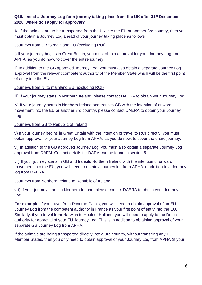# **Q16. I need a Journey Log for a journey taking place from the UK after 31st December 2020, where do I apply for approval?**

A. If the animals are to be transported from the UK into the EU or another 3rd country, then you must obtain a Journey Log ahead of your journey taking place as follows:

#### Journeys from GB to mainland EU (excluding ROI):

i) If your journey begins in Great Britain, you must obtain approval for your Journey Log from APHA, as you do now, to cover the entire journey.

ii) In addition to the GB approved Journey Log, you must also obtain a separate Journey Log approval from the relevant competent authority of the Member State which will be the first point of entry into the EU

#### Journeys from NI to mainland EU (excluding ROI)

iii) If your journey starts in Northern Ireland, please contact DAERA to obtain your Journey Log.

iv) If your journey starts in Northern Ireland and transits GB with the intention of onward movement into the EU or another 3rd country, please contact DAERA to obtain your Journey Log

#### Journeys from GB to Republic of Ireland

v) If your journey begins in Great Britain with the intention of travel to ROI directly, you must obtain approval for your Journey Log from APHA, as you do now, to cover the entire journey.

vi) In addition to the GB approved Journey Log, you must also obtain a separate Journey Log approval from DAFM. Contact details for DAFM can be found in section 5.

vii) If your journey starts in GB and transits Northern Ireland with the intention of onward movement into the EU, you will need to obtain a journey log from APHA in addition to a Journey log from DAERA.

#### Journeys from Northern Ireland to Republic of Ireland

viii) If your journey starts in Northern Ireland, please contact DAERA to obtain your Journey Log.

**For example,** if you travel from Dover to Calais, you will need to obtain approval of an EU Journey Log from the competent authority in France as your first point of entry into the EU. Similarly, if you travel from Harwich to Hook of Holland, you will need to apply to the Dutch authority for approval of your EU Journey Log. This is in addition to obtaining approval of your separate GB Journey Log from APHA.

If the animals are being transported directly into a 3rd country, without transiting any EU Member States, then you only need to obtain approval of your Journey Log from APHA (if your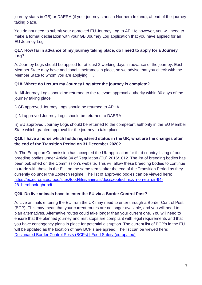journey starts in GB) or DAERA (if your journey starts in Northern Ireland), ahead of the journey taking place.

You do not need to submit your approved EU Journey Log to APHA; however, you will need to make a formal declaration with your GB Journey Log application that you have applied for an EU Journey Log.

# **Q17. How far in advance of my journey taking place, do I need to apply for a Journey Log?**

A. Journey Logs should be applied for at least 2 working days in advance of the journey. Each Member State may have additional timeframes in place, so we advise that you check with the Member State to whom you are applying .

# **Q18. Where do I return my Journey Log after the journey is complete?**

A. All Journey Logs should be returned to the relevant approval authority within 30 days of the journey taking place.

i) GB approved Journey Logs should be returned to APHA

ii) NI approved Journey Logs should be returned to DAERA

iii) EU approved Journey Logs should be returned to the competent authority in the EU Member State which granted approval for the journey to take place.

# **Q19. I have a horse which holds registered status in the UK, what are the changes after the end of the Transition Period on 31 December 2020?**

A. The European Commission has accepted the UK application for third country listing of our breeding bodies under Article 34 of Regulation (EU) 2016/1012. The list of breeding bodies has been published on the Commission's website. This will allow these breeding bodies to continue to trade with those in the EU, on the same terms after the end of the Transition Period as they currently do under the Zootech regime. The list of approved bodies can be viewed here: [https://ec.europa.eu/food/sites/food/files/animals/docs/zootechnics\\_non-eu\\_dir-94-](https://ec.europa.eu/food/sites/food/files/animals/docs/zootechnics_non-eu_dir-94-28_herdbook-gbr.pdf) [28\\_herdbook-gbr.pdf](https://ec.europa.eu/food/sites/food/files/animals/docs/zootechnics_non-eu_dir-94-28_herdbook-gbr.pdf)

# **Q20**. **Do live animals have to enter the EU via a Border Control Post?**

A. Live animals entering the EU from the UK may need to enter through a Border Control Post (BCP). This may mean that your current routes are no longer available, and you will need to plan alternatives. Alternative routes could take longer than your current one. You will need to ensure that the planned journey and rest stops are compliant with legal requirements and that you have contingency plans in place for potential disruption. The current list of BCP's in the EU will be updated as the location of new BCP's are agreed. The list can be viewed here: [Designated Border Control Posts \(BCPs\) | Food Safety \(europa.eu\)](https://ec.europa.eu/food/animals/vet-border-control/bip_en)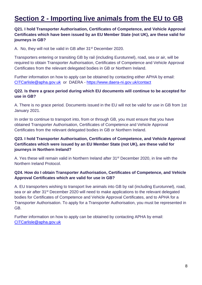# **Section 2 - Importing live animals from the EU to GB**

# **Q21. I hold Transporter Authorisation, Certificates of Competence, and Vehicle Approval Certificates which have been issued by an EU Member State (not UK), are these valid for journeys in GB?**

A. No, they will not be valid in GB after 31<sup>st</sup> December 2020.

Transporters entering or transiting GB by rail (including Eurotunnel), road, sea or air, will be required to obtain Transporter Authorisation, Certificates of Competence and Vehicle Approval Certificates from the relevant delegated bodies in GB or Northern Ireland.

Further information on how to apply can be obtained by contacting either APHA by email: [CITCarlisle@apha.gov.uk](mailto:CITCarlisle@apha.gov.uk) or DAERA - <https://www.daera-ni.gov.uk/contact>

#### **Q22. Is there a grace period during which EU documents will continue to be accepted for use in GB?**

A. There is no grace period. Documents issued in the EU will not be valid for use in GB from 1st January 2021.

In order to continue to transport into, from or through GB, you must ensure that you have obtained Transporter Authorisation, Certificates of Competence and Vehicle Approval Certificates from the relevant delegated bodies in GB or Northern Ireland.

# **Q23. I hold Transporter Authorisation, Certificates of Competence, and Vehicle Approval Certificates which were issued by an EU Member State (not UK), are these valid for journeys in Northern Ireland?**

A. Yes these will remain valid in Northern Ireland after 31<sup>st</sup> December 2020, in line with the Northern Ireland Protocol.

#### **Q24. How do I obtain Transporter Authorisation, Certificates of Competence, and Vehicle Approval Certificates which are valid for use in GB?**

A. EU transporters wishing to transport live animals into GB by rail (including Eurotunnel), road, sea or air after 31<sup>st</sup> December 2020 will need to make applications to the relevant delegated bodies for Certificates of Competence and Vehicle Approval Certificates, and to APHA for a Transporter Authorisation. To apply for a Transporter Authorisation, you must be represented in GB.

Further information on how to apply can be obtained by contacting APHA by email: [CITCarlisle@apha.gov.uk](mailto:CITCarlisle@apha.gov.uk)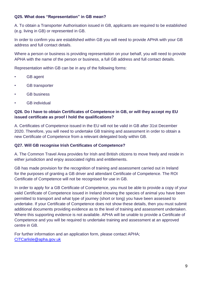### **Q25. What does "Representation" in GB mean?**

A. To obtain a Transporter Authorisation issued in GB, applicants are required to be established (e.g. living in GB) or represented in GB.

In order to confirm you are established within GB you will need to provide APHA with your GB address and full contact details.

Where a person or business is providing representation on your behalf, you will need to provide APHA with the name of the person or business, a full GB address and full contact details.

Representation within GB can be in any of the following forms:

- GB agent
- GB transporter
- GB business
- GB individual

### **Q26. Do I have to obtain Certificates of Competence in GB, or will they accept my EU issued certificate as proof I hold the qualifications?**

A. Certificates of Competence issued in the EU will not be valid in GB after 31st December 2020. Therefore, you will need to undertake GB training and assessment in order to obtain a new Certificate of Competence from a relevant delegated body within GB.

#### **Q27. Will GB recognise Irish Certificates of Competence?**

A. The Common Travel Area provides for Irish and British citizens to move freely and reside in either jurisdiction and enjoy associated rights and entitlements.

GB has made provision for the recognition of training and assessment carried out in Ireland for the purposes of granting a GB driver and attendant Certificate of Competence. The ROI Certificate of Competence will not be recognised for use in GB.

In order to apply for a GB Certificate of Competence, you must be able to provide a copy of your valid Certificate of Competence issued in Ireland showing the species of animal you have been permitted to transport and what type of journey (short or long) you have been assessed to undertake. If your Certificate of Competence does not show these details, then you must submit additional documents providing evidence as to the level of training and assessment undertaken. Where this supporting evidence is not available. APHA will be unable to provide a Certificate of Competence and you will be required to undertake training and assessment at an approved centre in GB.

For further information and an application form, please contact APHA; [CITCarlisle@apha.gov.uk](mailto:CITCarlisle@apha.gov.uk)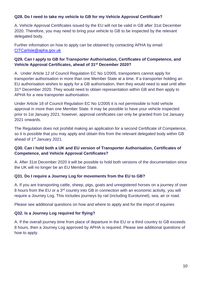# **Q28. Do I need to take my vehicle to GB for my Vehicle Approval Certificate?**

A. Vehicle Approval Certificates issued by the EU will not be valid in GB after 31st December 2020. Therefore, you may need to bring your vehicle to GB to be inspected by the relevant delegated body.

Further information on how to apply can be obtained by contacting APHA by email: [CITCarlisle@apha.gov.uk](mailto:CITCarlisle@apha.gov.uk)

# **Q29. Can I apply to GB for Transporter Authorisation, Certificates of Competence, and Vehicle Approval Certificates, ahead of 31st December 2020?**

A. Under Article 12 of Council Regulation EC No 1/2005, transporters cannot apply for transporter authorisation in more than one Member State at a time. If a transporter holding an EU authorisation wishes to apply for a GB authorisation, then they would need to wait until after 31<sup>st</sup> December 2020. They would need to obtain representation within GB and then apply to APHA for a new transporter authorisation.

Under Article 18 of Council Regulation EC No 1/2005 it is not permissible to hold vehicle approval in more than one Member State. It may be possible to have your vehicle inspected prior to 1st January 2021; however, approval certificates can only be granted from 1st January 2021 onwards.

The Regulation does not prohibit making an application for a second Certificate of Competence, so it is possible that you may apply and obtain this from the relevant delegated body within GB ahead of 1st January 2021.

# **Q30. Can I hold both a UK and EU version of Transporter Authorisation, Certificates of Competence, and Vehicle Approval Certificates?**

A. After 31st December 2020 it will be possible to hold both versions of the documentation since the UK will no longer be an EU Member State.

# **Q31. Do I require a Journey Log for movements from the EU to GB?**

A. If you are transporting cattle, sheep, pigs, goats and unregistered horses on a journey of over 8 hours from the EU or a 3<sup>rd</sup> country into GB in connection with an economic activity, you will require a Journey Log. This includes journeys by rail (including Eurotunnel), sea, air or road.

Please see additional questions on how and where to apply and for the import of equines

# **Q32. Is a Journey Log required for flying?**

A. If the overall journey time from place of departure in the EU or a third country to GB exceeds 8 hours, then a Journey Log approved by APHA is required. Please see additional questions of how to apply.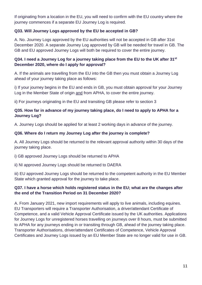If originating from a location in the EU, you will need to confirm with the EU country where the journey commences if a separate EU Journey Log is required.

# **Q33. Will Journey Logs approved by the EU be accepted in GB?**

A. No. Journey Logs approved by the EU authorities will not be accepted in GB after 31st December 2020. A separate Journey Log approved by GB will be needed for travel in GB. The GB and EU approved Journey Logs will both be required to cover the entire journey.

# **Q34. I need a Journey Log for a journey taking place from the EU to the UK after 31st December 2020, where do I apply for approval?**

A. If the animals are travelling from the EU into the GB then you must obtain a Journey Log ahead of your journey taking place as follows:

i) If your journey begins in the EU and ends in GB, you must obtain approval for your Journey Log in the Member State of origin and from APHA, to cover the entire journey.

ii) For journeys originating in the EU and transiting GB please refer to section 3

# **Q35. How far in advance of my journey taking place, do I need to apply to APHA for a Journey Log?**

A. Journey Logs should be applied for at least 2 working days in advance of the journey.

#### **Q36. Where do I return my Journey Log after the journey is complete?**

A. All Journey Logs should be returned to the relevant approval authority within 30 days of the journey taking place.

i) GB approved Journey Logs should be returned to APHA

ii) NI approved Journey Logs should be returned to DAERA

iii) EU approved Journey Logs should be returned to the competent authority in the EU Member State which granted approval for the journey to take place.

# **Q37. I have a horse which holds registered status in the EU; what are the changes after the end of the Transition Period on 31 December 2020?**

A. From January 2021, new import requirements will apply to live animals, including equines. EU Transporters will require a Transporter Authorisation, a driver/attendant Certificate of Competence, and a valid Vehicle Approval Certificate issued by the UK authorities. Applications for Journey Logs for unregistered horses travelling on journeys over 8 hours, must be submitted to APHA for any journeys ending in or transiting through GB, ahead of the journey taking place. Transporter Authorisations, driver/attendant Certificates of Competence, Vehicle Approval Certificates and Journey Logs issued by an EU Member State are no longer valid for use in GB.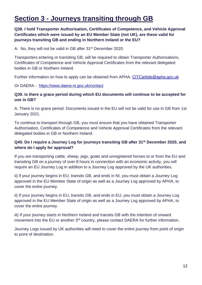# **Section 3 - Journeys transiting through GB**

# **Q38. I hold Transporter Authorisation, Certificates of Competence, and Vehicle Approval Certificates which were issued by an EU Member State (not UK), are these valid for journeys transiting GB and ending in Northern Ireland or the EU?**

A. No, they will not be valid in GB after 31<sup>st</sup> December 2020.

Transporters entering or transiting GB, will be required to obtain Transporter Authorisations, Certificates of Competence and Vehicle Approval Certificates from the relevant delegated bodies in GB or Northern Ireland.

Further information on how to apply can be obtained from APHA: [CITCarlisle@apha.gov.uk](mailto:CITCarlisle@apha.gov.uk)

Or DAERA - <https://www.daera-ni.gov.uk/contact>

#### **Q39. Is there a grace period during which EU documents will continue to be accepted for use in GB?**

A. There is no grace period. Documents issued in the EU will not be valid for use in GB from 1st January 2021.

To continue to transport through GB, you must ensure that you have obtained Transporter Authorisation, Certificates of Competence and Vehicle Approval Certificates from the relevant delegated bodies in GB or Northern Ireland.

#### **Q40. Do I require a Journey Log for journeys transiting GB after 31st December 2020, and where do I apply for approval?**

If you are transporting cattle, sheep, pigs, goats and unregistered horses to or from the EU and transiting GB on a journey of over 8 hours in connection with an economic activity, you will require an EU Journey Log in addition to a Journey Log approved by the UK authorities.

ii) If your journey begins in EU, transits GB, and ends in NI, you must obtain a Journey Log approved in the EU Member State of origin as well as a Journey Log approved by APHA, to cover the entire journey.

ii) If your journey begins in EU, transits GB, and ends in EU, you must obtain a Journey Log approved in the EU Member State of origin as well as a Journey Log approved by APHA, to cover the entire journey.

iii) If your journey starts in Northern Ireland and transits GB with the intention of onward movement into the EU or another 3<sup>rd</sup> country, please contact DAERA for further information.

Journey Logs issued by UK authorities will need to cover the entire journey from point of origin to point of destination.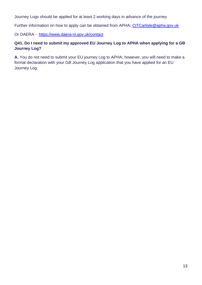Journey Logs should be applied for at least 2 working days in advance of the journey

Further information on how to apply can be obtained from APHA: [CITCarlisle@apha.gov.uk](mailto:CITCarlisle@apha.gov.uk)

Or DAERA - <https://www.daera-ni.gov.uk/contact>

# **Q41. Do I need to submit my approved EU Journey Log to APHA when applying for a GB Journey Log?**

**A.** You do not need to submit your EU journey Log to APHA; however, you will need to make a formal declaration with your GB Journey Log application that you have applied for an EU Journey Log.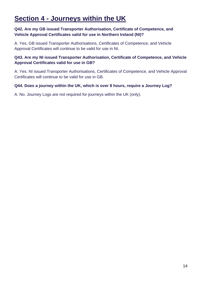# **Section 4 - Journeys within the UK**

# **Q42. Are my GB issued Transporter Authorisation, Certificate of Competence, and Vehicle Approval Certificates valid for use in Northern Ireland (NI)?**

A. Yes, GB issued Transporter Authorisations, Certificates of Competence, and Vehicle Approval Certificates will continue to be valid for use in NI.

# **Q43. Are my NI issued Transporter Authorisation, Certificate of Competence, and Vehicle Approval Certificates valid for use in GB?**

A. Yes. NI issued Transporter Authorisations, Certificates of Competence, and Vehicle Approval Certificates will continue to be valid for use in GB.

# **Q44. Does a journey within the UK, which is over 8 hours, require a Journey Log?**

A. No. Journey Logs are not required for journeys within the UK (only).